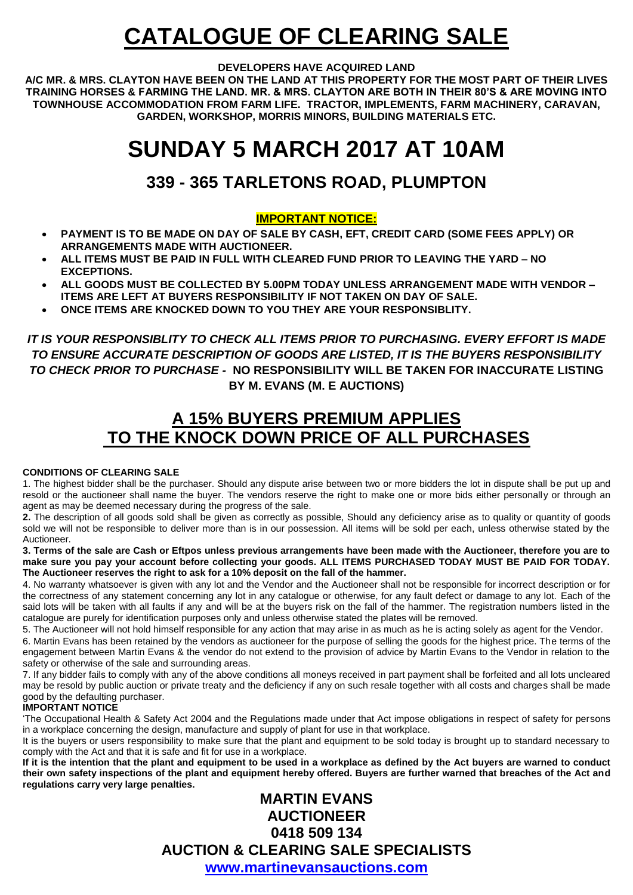# **CATALOGUE OF CLEARING SALE**

#### **DEVELOPERS HAVE ACQUIRED LAND**

**A/C MR. & MRS. CLAYTON HAVE BEEN ON THE LAND AT THIS PROPERTY FOR THE MOST PART OF THEIR LIVES TRAINING HORSES & FARMING THE LAND. MR. & MRS. CLAYTON ARE BOTH IN THEIR 80'S & ARE MOVING INTO TOWNHOUSE ACCOMMODATION FROM FARM LIFE. TRACTOR, IMPLEMENTS, FARM MACHINERY, CARAVAN, GARDEN, WORKSHOP, MORRIS MINORS, BUILDING MATERIALS ETC.** 

# **SUNDAY 5 MARCH 2017 AT 10AM**

# **339 - 365 TARLETONS ROAD, PLUMPTON**

### **IMPORTANT NOTICE:**

- **PAYMENT IS TO BE MADE ON DAY OF SALE BY CASH, EFT, CREDIT CARD (SOME FEES APPLY) OR ARRANGEMENTS MADE WITH AUCTIONEER.**
- **ALL ITEMS MUST BE PAID IN FULL WITH CLEARED FUND PRIOR TO LEAVING THE YARD – NO EXCEPTIONS.**
- **ALL GOODS MUST BE COLLECTED BY 5.00PM TODAY UNLESS ARRANGEMENT MADE WITH VENDOR – ITEMS ARE LEFT AT BUYERS RESPONSIBILITY IF NOT TAKEN ON DAY OF SALE.**
- **ONCE ITEMS ARE KNOCKED DOWN TO YOU THEY ARE YOUR RESPONSIBLITY.**

*IT IS YOUR RESPONSIBLITY TO CHECK ALL ITEMS PRIOR TO PURCHASING. EVERY EFFORT IS MADE TO ENSURE ACCURATE DESCRIPTION OF GOODS ARE LISTED, IT IS THE BUYERS RESPONSIBILITY TO CHECK PRIOR TO PURCHASE -* **NO RESPONSIBILITY WILL BE TAKEN FOR INACCURATE LISTING BY M. EVANS (M. E AUCTIONS)**

# **A 15% BUYERS PREMIUM APPLIES TO THE KNOCK DOWN PRICE OF ALL PURCHASES**

#### **CONDITIONS OF CLEARING SALE**

1. The highest bidder shall be the purchaser. Should any dispute arise between two or more bidders the lot in dispute shall be put up and resold or the auctioneer shall name the buyer. The vendors reserve the right to make one or more bids either personally or through an agent as may be deemed necessary during the progress of the sale.

**2.** The description of all goods sold shall be given as correctly as possible, Should any deficiency arise as to quality or quantity of goods sold we will not be responsible to deliver more than is in our possession. All items will be sold per each, unless otherwise stated by the Auctioneer.

**3. Terms of the sale are Cash or Eftpos unless previous arrangements have been made with the Auctioneer, therefore you are to make sure you pay your account before collecting your goods. ALL ITEMS PURCHASED TODAY MUST BE PAID FOR TODAY. The Auctioneer reserves the right to ask for a 10% deposit on the fall of the hammer.** 

4. No warranty whatsoever is given with any lot and the Vendor and the Auctioneer shall not be responsible for incorrect description or for the correctness of any statement concerning any lot in any catalogue or otherwise, for any fault defect or damage to any lot. Each of the said lots will be taken with all faults if any and will be at the buyers risk on the fall of the hammer. The registration numbers listed in the catalogue are purely for identification purposes only and unless otherwise stated the plates will be removed.

5. The Auctioneer will not hold himself responsible for any action that may arise in as much as he is acting solely as agent for the Vendor.

6. Martin Evans has been retained by the vendors as auctioneer for the purpose of selling the goods for the highest price. The terms of the engagement between Martin Evans & the vendor do not extend to the provision of advice by Martin Evans to the Vendor in relation to the safety or otherwise of the sale and surrounding areas.

7. If any bidder fails to comply with any of the above conditions all moneys received in part payment shall be forfeited and all lots uncleared may be resold by public auction or private treaty and the deficiency if any on such resale together with all costs and charges shall be made good by the defaulting purchaser.

#### **IMPORTANT NOTICE**

'The Occupational Health & Safety Act 2004 and the Regulations made under that Act impose obligations in respect of safety for persons in a workplace concerning the design, manufacture and supply of plant for use in that workplace.

It is the buyers or users responsibility to make sure that the plant and equipment to be sold today is brought up to standard necessary to comply with the Act and that it is safe and fit for use in a workplace.

**If it is the intention that the plant and equipment to be used in a workplace as defined by the Act buyers are warned to conduct their own safety inspections of the plant and equipment hereby offered. Buyers are further warned that breaches of the Act and regulations carry very large penalties.** 

## **MARTIN EVANS AUCTIONEER 0418 509 134 AUCTION & CLEARING SALE SPECIALISTS [www.martinevansauctions.com](http://www.martinevansauctions.com/)**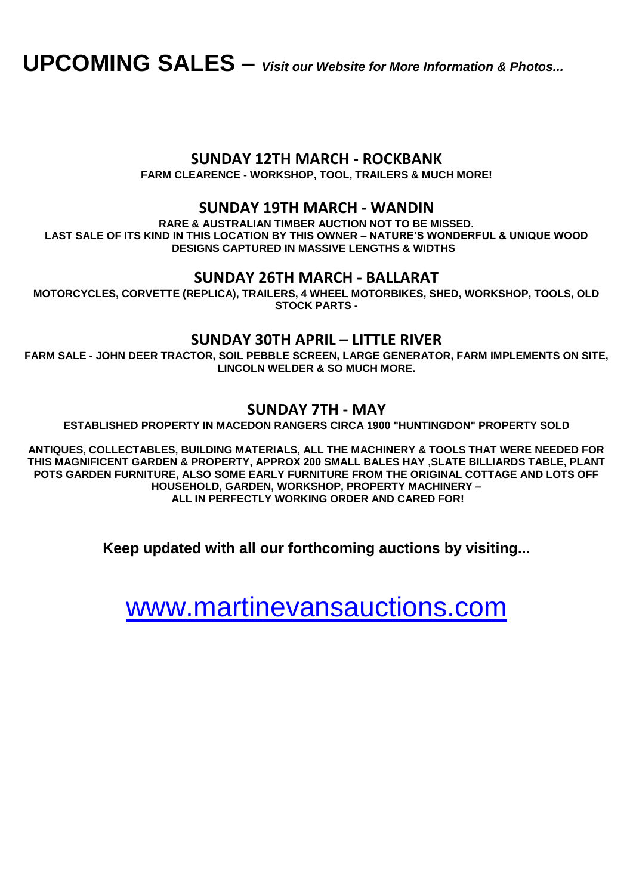**UPCOMING SALES –** *Visit our Website for More Information & Photos...*

## **[SUNDAY 12TH MARCH](http://www.martinevansauctions.com/sunday-12th-march-2017---rockbank.html) - ROCKBANK**

**FARM CLEARENCE - WORKSHOP, TOOL, TRAILERS & MUCH MORE!** 

## **[SUNDAY 19TH MARCH -](http://www.martinevansauctions.com/sunday-19th-march-2017---wandin.html) WANDIN**

**RARE & AUSTRALIAN TIMBER AUCTION NOT TO BE MISSED. LAST SALE OF ITS KIND IN THIS LOCATION BY THIS OWNER – NATURE'S WONDERFUL & UNIQUE WOOD DESIGNS CAPTURED IN MASSIVE LENGTHS & WIDTHS** 

## **[SUNDAY 26TH MARCH -](http://www.martinevansauctions.com/sunday-26th-march-2017---ballarat.html) BALLARAT**

**MOTORCYCLES, CORVETTE (REPLICA), TRAILERS, 4 WHEEL MOTORBIKES, SHED, WORKSHOP, TOOLS, OLD STOCK PARTS -**

## **[SUNDAY 30TH](http://www.martinevansauctions.com/sunday-26th-march-2017---ballarat.html) APRIL – LITTLE RIVER**

**FARM SALE - JOHN DEER TRACTOR, SOIL PEBBLE SCREEN, LARGE GENERATOR, FARM IMPLEMENTS ON SITE, LINCOLN WELDER & SO MUCH MORE.** 

## **[SUNDAY 7TH](http://www.martinevansauctions.com/sunday-5th-march-2017---plumpton.html) - MAY**

**ESTABLISHED PROPERTY IN MACEDON RANGERS CIRCA 1900 "HUNTINGDON" PROPERTY SOLD**

**ANTIQUES, COLLECTABLES, BUILDING MATERIALS, ALL THE MACHINERY & TOOLS THAT WERE NEEDED FOR THIS MAGNIFICENT GARDEN & PROPERTY, APPROX 200 SMALL BALES HAY ,SLATE BILLIARDS TABLE, PLANT POTS GARDEN FURNITURE, ALSO SOME EARLY FURNITURE FROM THE ORIGINAL COTTAGE AND LOTS OFF HOUSEHOLD, GARDEN, WORKSHOP, PROPERTY MACHINERY – ALL IN PERFECTLY WORKING ORDER AND CARED FOR!**

**Keep updated with all our forthcoming auctions by visiting...**

[www.martinevansauctions.com](http://www.martinevansauctions.com/)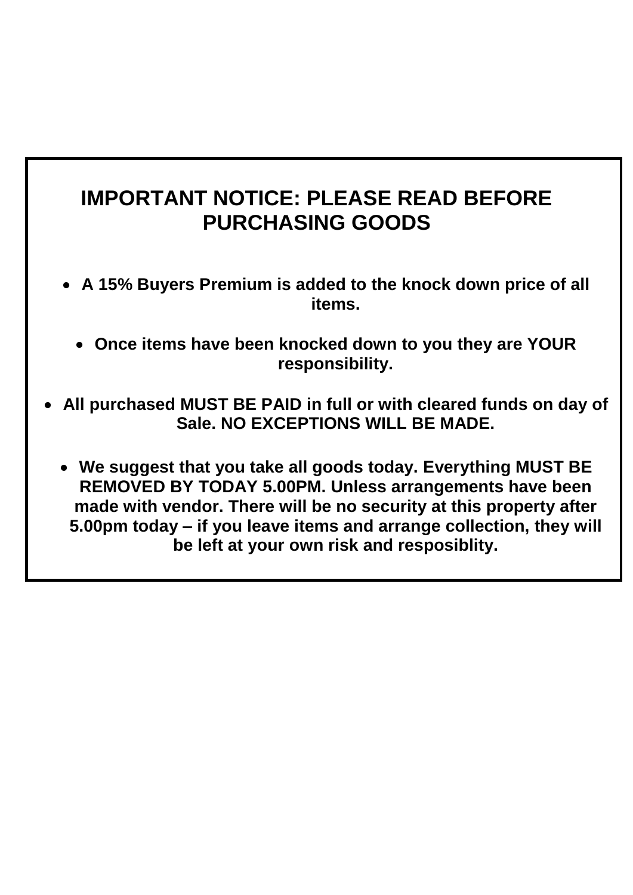# **IMPORTANT NOTICE: PLEASE READ BEFORE PURCHASING GOODS**

- **A 15% Buyers Premium is added to the knock down price of all items.**
	- **Once items have been knocked down to you they are YOUR responsibility.**
- **All purchased MUST BE PAID in full or with cleared funds on day of Sale. NO EXCEPTIONS WILL BE MADE.** 
	- **We suggest that you take all goods today. Everything MUST BE REMOVED BY TODAY 5.00PM. Unless arrangements have been made with vendor. There will be no security at this property after 5.00pm today – if you leave items and arrange collection, they will be left at your own risk and resposiblity.**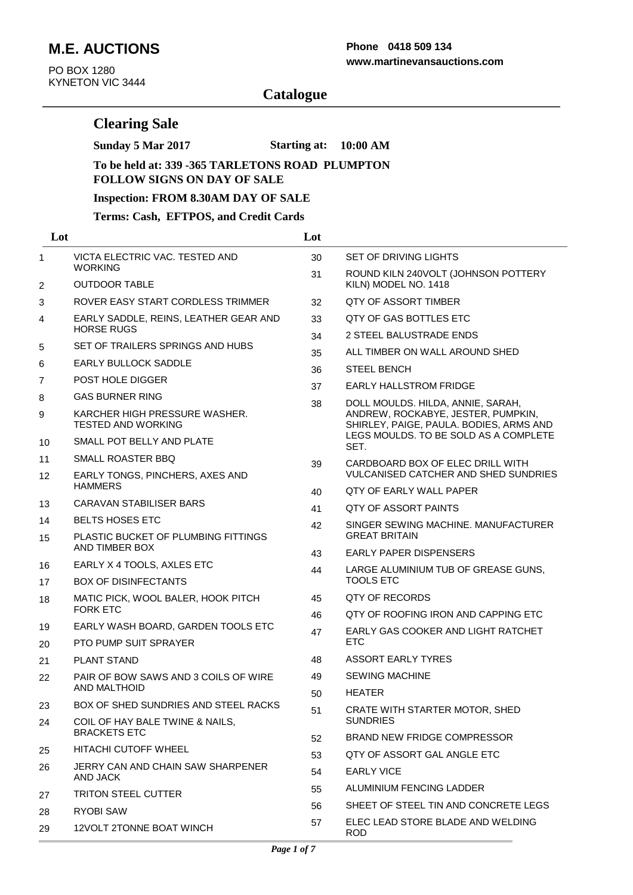# **M.E. AUCTIONS**

PO BOX 1280 KYNETON VIC 3444

### **www.martinevansauctions.com Phone 0418 509 134**

# **Catalogue**

## **Clearing Sale**

**Sunday 5 Mar 2017 Starting at: 10:00 AM**

#### **To be held at: 339 -365 TARLETONS ROAD PLUMPTON FOLLOW SIGNS ON DAY OF SALE**

#### **Inspection: FROM 8.30AM DAY OF SALE**

### **Terms: Cash, EFTPOS, and Credit Cards**

| Lot            |                                                            | Lot |                                                                                                                        |
|----------------|------------------------------------------------------------|-----|------------------------------------------------------------------------------------------------------------------------|
| 1              | VICTA ELECTRIC VAC. TESTED AND<br><b>WORKING</b>           | 30  | SET OF DRIVING LIGHTS                                                                                                  |
| $\overline{2}$ | <b>OUTDOOR TABLE</b>                                       | 31  | ROUND KILN 240VOLT (JOHNSON POTTERY<br>KILN) MODEL NO. 1418                                                            |
| 3              | ROVER EASY START CORDLESS TRIMMER                          | 32  | <b>QTY OF ASSORT TIMBER</b>                                                                                            |
| 4              | EARLY SADDLE, REINS, LEATHER GEAR AND                      | 33  | QTY OF GAS BOTTLES ETC                                                                                                 |
|                | <b>HORSE RUGS</b>                                          | 34  | 2 STEEL BALUSTRADE ENDS                                                                                                |
| 5              | SET OF TRAILERS SPRINGS AND HUBS                           | 35  | ALL TIMBER ON WALL AROUND SHED                                                                                         |
| 6              | EARLY BULLOCK SADDLE                                       | 36  | <b>STEEL BENCH</b>                                                                                                     |
| 7              | POST HOLE DIGGER                                           | 37  | <b>EARLY HALLSTROM FRIDGE</b>                                                                                          |
| 8              | <b>GAS BURNER RING</b>                                     | 38  | DOLL MOULDS. HILDA, ANNIE, SARAH,                                                                                      |
| 9              | KARCHER HIGH PRESSURE WASHER.<br><b>TESTED AND WORKING</b> |     | ANDREW, ROCKABYE, JESTER, PUMPKIN,<br>SHIRLEY, PAIGE, PAULA. BODIES, ARMS AND<br>LEGS MOULDS. TO BE SOLD AS A COMPLETE |
| 10             | SMALL POT BELLY AND PLATE                                  |     | SET.                                                                                                                   |
| 11             | SMALL ROASTER BBQ                                          | 39  | CARDBOARD BOX OF ELEC DRILL WITH                                                                                       |
| 12             | EARLY TONGS, PINCHERS, AXES AND                            |     | <b>VULCANISED CATCHER AND SHED SUNDRIES</b>                                                                            |
|                | <b>HAMMERS</b>                                             | 40  | <b>OTY OF EARLY WALL PAPER</b>                                                                                         |
| 13             | CARAVAN STABILISER BARS                                    | 41  | QTY OF ASSORT PAINTS                                                                                                   |
| 14             | <b>BELTS HOSES ETC</b>                                     | 42  | SINGER SEWING MACHINE, MANUFACTURER<br><b>GREAT BRITAIN</b>                                                            |
| 15             | PLASTIC BUCKET OF PLUMBING FITTINGS<br>AND TIMBER BOX      | 43  | EARLY PAPER DISPENSERS                                                                                                 |
| 16             | EARLY X 4 TOOLS, AXLES ETC                                 | 44  | LARGE ALUMINIUM TUB OF GREASE GUNS,                                                                                    |
| 17             | <b>BOX OF DISINFECTANTS</b>                                |     | <b>TOOLS ETC</b>                                                                                                       |
| 18             | MATIC PICK, WOOL BALER, HOOK PITCH<br><b>FORK ETC</b>      | 45  | QTY OF RECORDS                                                                                                         |
|                | EARLY WASH BOARD, GARDEN TOOLS ETC                         | 46  | QTY OF ROOFING IRON AND CAPPING ETC                                                                                    |
| 19<br>20       | <b>PTO PUMP SUIT SPRAYER</b>                               | 47  | EARLY GAS COOKER AND LIGHT RATCHET<br><b>ETC</b>                                                                       |
| 21             | <b>PLANT STAND</b>                                         | 48  | ASSORT EARLY TYRES                                                                                                     |
| 22             | PAIR OF BOW SAWS AND 3 COILS OF WIRE                       | 49  | <b>SEWING MACHINE</b>                                                                                                  |
|                | AND MALTHOID                                               | 50  | <b>HEATER</b>                                                                                                          |
| 23             | BOX OF SHED SUNDRIES AND STEEL RACKS                       | 51  | CRATE WITH STARTER MOTOR, SHED                                                                                         |
| 24             | COIL OF HAY BALE TWINE & NAILS,<br><b>BRACKETS ETC</b>     | 52  | <b>SUNDRIES</b><br><b>BRAND NEW FRIDGE COMPRESSOR</b>                                                                  |
| 25             | HITACHI CUTOFF WHEEL                                       | 53  | QTY OF ASSORT GAL ANGLE ETC                                                                                            |
| 26             | JERRY CAN AND CHAIN SAW SHARPENER                          | 54  | <b>EARLY VICE</b>                                                                                                      |
|                | AND JACK                                                   |     | ALUMINIUM FENCING LADDER                                                                                               |
| 27             | <b>TRITON STEEL CUTTER</b>                                 | 55  | SHEET OF STEEL TIN AND CONCRETE LEGS                                                                                   |
| 28             | <b>RYOBI SAW</b>                                           | 56  |                                                                                                                        |
| 29             | 12VOLT 2TONNE BOAT WINCH                                   | 57  | ELEC LEAD STORE BLADE AND WELDING<br>ROD                                                                               |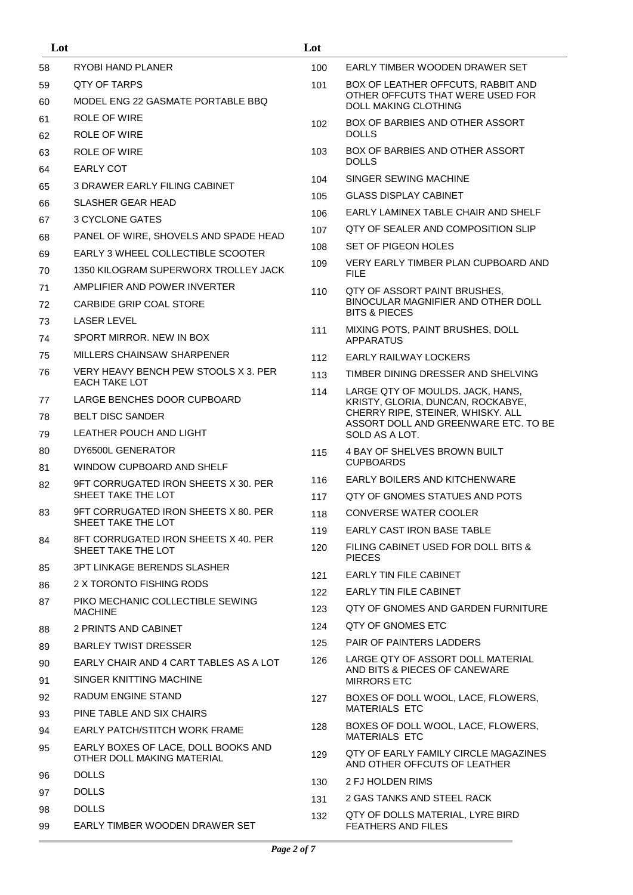| Lot |                                                                   | Lot        |                                                                           |
|-----|-------------------------------------------------------------------|------------|---------------------------------------------------------------------------|
| 58  | RYOBI HAND PLANER                                                 | 100        | EARLY TIMBER WOODEN DRAWER SET                                            |
| 59  | QTY OF TARPS                                                      | 101        | BOX OF LEATHER OFFCUTS, RABBIT AND                                        |
| 60  | MODEL ENG 22 GASMATE PORTABLE BBQ                                 |            | OTHER OFFCUTS THAT WERE USED FOR<br><b>DOLL MAKING CLOTHING</b>           |
| 61  | ROLE OF WIRE                                                      | 102        | BOX OF BARBIES AND OTHER ASSORT                                           |
| 62  | ROLE OF WIRE                                                      |            | <b>DOLLS</b>                                                              |
| 63  | <b>ROLE OF WIRE</b>                                               | 103        | BOX OF BARBIES AND OTHER ASSORT<br><b>DOLLS</b>                           |
| 64  | <b>EARLY COT</b>                                                  | 104        | SINGER SEWING MACHINE                                                     |
| 65  | <b>3 DRAWER EARLY FILING CABINET</b>                              | 105        | <b>GLASS DISPLAY CABINET</b>                                              |
| 66  | <b>SLASHER GEAR HEAD</b>                                          | 106        | EARLY LAMINEX TABLE CHAIR AND SHELF                                       |
| 67  | 3 CYCLONE GATES                                                   | 107        | QTY OF SEALER AND COMPOSITION SLIP                                        |
| 68  | PANEL OF WIRE, SHOVELS AND SPADE HEAD                             | 108        | SET OF PIGEON HOLES                                                       |
| 69  | EARLY 3 WHEEL COLLECTIBLE SCOOTER                                 | 109        | VERY EARLY TIMBER PLAN CUPBOARD AND                                       |
| 70  | 1350 KILOGRAM SUPERWORX TROLLEY JACK                              |            | <b>FILE</b>                                                               |
| 71  | AMPLIFIER AND POWER INVERTER                                      | 110        | QTY OF ASSORT PAINT BRUSHES,                                              |
| 72  | CARBIDE GRIP COAL STORE                                           |            | BINOCULAR MAGNIFIER AND OTHER DOLL<br><b>BITS &amp; PIECES</b>            |
| 73  | LASER LEVEL                                                       | 111        | MIXING POTS, PAINT BRUSHES, DOLL                                          |
| 74  | SPORT MIRROR. NEW IN BOX                                          |            | <b>APPARATUS</b>                                                          |
| 75  | MILLERS CHAINSAW SHARPENER                                        | 112        | EARLY RAILWAY LOCKERS                                                     |
| 76  | VERY HEAVY BENCH PEW STOOLS X 3. PER<br><b>EACH TAKE LOT</b>      | 113        | TIMBER DINING DRESSER AND SHELVING                                        |
| 77  | LARGE BENCHES DOOR CUPBOARD                                       | 114        | LARGE QTY OF MOULDS. JACK, HANS,<br>KRISTY, GLORIA, DUNCAN, ROCKABYE,     |
| 78  | <b>BELT DISC SANDER</b>                                           |            | CHERRY RIPE, STEINER, WHISKY. ALL<br>ASSORT DOLL AND GREENWARE ETC. TO BE |
| 79  | LEATHER POUCH AND LIGHT                                           |            | SOLD AS A LOT.                                                            |
| 80  | DY6500L GENERATOR                                                 | 115        | 4 BAY OF SHELVES BROWN BUILT                                              |
| 81  | WINDOW CUPBOARD AND SHELF                                         |            | <b>CUPBOARDS</b>                                                          |
| 82  | 9FT CORRUGATED IRON SHEETS X 30, PER<br>SHEET TAKE THE LOT        | 116<br>117 | <b>EARLY BOILERS AND KITCHENWARE</b><br>OTY OF GNOMES STATUES AND POTS    |
| 83  | 9FT CORRUGATED IRON SHEETS X 80. PER                              | 118        | CONVERSE WATER COOLER                                                     |
|     | SHEET TAKE THE LOT                                                | 119        | EARLY CAST IRON BASE TABLE                                                |
| 84  | 8FT CORRUGATED IRON SHEETS X 40, PER                              | 120        | FILING CABINET USED FOR DOLL BITS &                                       |
|     | SHEET TAKE THE LOT                                                |            | <b>PIECES</b>                                                             |
| 85  | 3PT LINKAGE BERENDS SLASHER                                       | 121        | <b>FARLY TIN FILE CABINET</b>                                             |
| 86  | 2 X TORONTO FISHING RODS                                          | 122        | <b>EARLY TIN FILE CABINET</b>                                             |
| 87  | PIKO MECHANIC COLLECTIBLE SEWING<br><b>MACHINE</b>                | 123        | <b>OTY OF GNOMES AND GARDEN FURNITURE</b>                                 |
| 88  | 2 PRINTS AND CABINET                                              | 124        | QTY OF GNOMES ETC                                                         |
| 89  | BARLEY TWIST DRESSER                                              | 125        | PAIR OF PAINTERS LADDERS                                                  |
| 90  | EARLY CHAIR AND 4 CART TABLES AS A LOT                            | 126        | LARGE QTY OF ASSORT DOLL MATERIAL                                         |
| 91  | SINGER KNITTING MACHINE                                           |            | AND BITS & PIECES OF CANEWARE<br><b>MIRRORS ETC</b>                       |
| 92  | RADUM ENGINE STAND                                                | 127        | BOXES OF DOLL WOOL, LACE, FLOWERS,                                        |
| 93  | PINE TABLE AND SIX CHAIRS                                         |            | <b>MATERIALS ETC</b>                                                      |
| 94  | <b>EARLY PATCH/STITCH WORK FRAME</b>                              | 128        | BOXES OF DOLL WOOL, LACE, FLOWERS,<br><b>MATERIALS ETC</b>                |
| 95  | EARLY BOXES OF LACE, DOLL BOOKS AND<br>OTHER DOLL MAKING MATERIAL | 129        | QTY OF EARLY FAMILY CIRCLE MAGAZINES                                      |
| 96  | <b>DOLLS</b>                                                      |            | AND OTHER OFFCUTS OF LEATHER                                              |
| 97  | <b>DOLLS</b>                                                      | 130        | 2 FJ HOLDEN RIMS                                                          |
| 98  | <b>DOLLS</b>                                                      | 131        | 2 GAS TANKS AND STEEL RACK                                                |
| 99  | EARLY TIMBER WOODEN DRAWER SET                                    | 132        | QTY OF DOLLS MATERIAL, LYRE BIRD<br><b>FEATHERS AND FILES</b>             |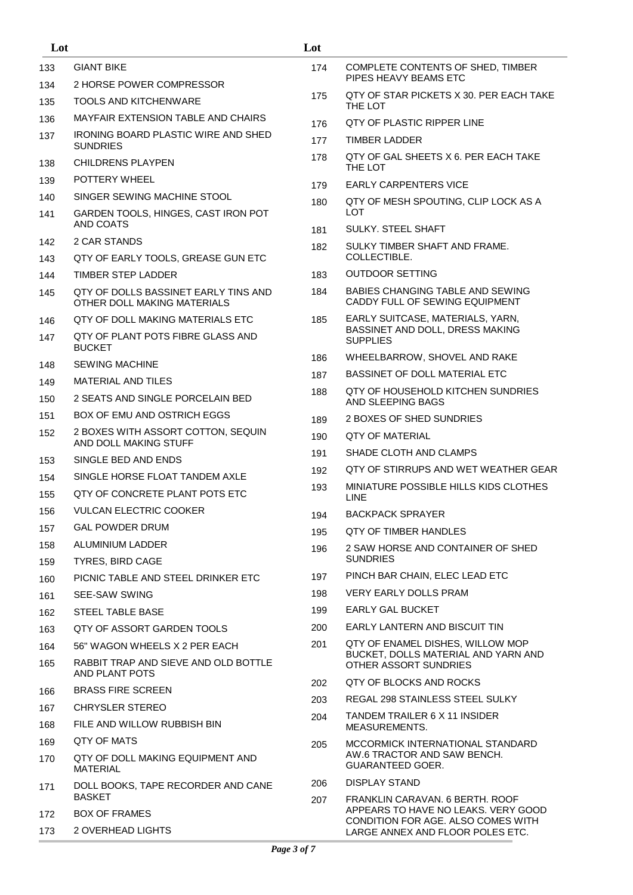| Lot |                                                                     | Lot |                                                                         |
|-----|---------------------------------------------------------------------|-----|-------------------------------------------------------------------------|
| 133 | <b>GIANT BIKE</b>                                                   | 174 | COMPLETE CONTENTS OF SHED, TIMBER                                       |
| 134 | 2 HORSE POWER COMPRESSOR                                            |     | PIPES HEAVY BEAMS ETC                                                   |
| 135 | TOOLS AND KITCHENWARE                                               | 175 | QTY OF STAR PICKETS X 30. PER EACH TAKE<br>THE LOT                      |
| 136 | MAYFAIR EXTENSION TABLE AND CHAIRS                                  | 176 | <b>QTY OF PLASTIC RIPPER LINE</b>                                       |
| 137 | <b>IRONING BOARD PLASTIC WIRE AND SHED</b><br><b>SUNDRIES</b>       | 177 | TIMBER LADDER                                                           |
| 138 | <b>CHILDRENS PLAYPEN</b>                                            | 178 | QTY OF GAL SHEETS X 6. PER EACH TAKE<br>THE LOT                         |
| 139 | POTTERY WHEEL                                                       | 179 | <b>EARLY CARPENTERS VICE</b>                                            |
| 140 | SINGER SEWING MACHINE STOOL                                         | 180 | QTY OF MESH SPOUTING, CLIP LOCK AS A                                    |
| 141 | GARDEN TOOLS, HINGES, CAST IRON POT<br>AND COATS                    |     | <b>LOT</b><br><b>SULKY, STEEL SHAFT</b>                                 |
| 142 | 2 CAR STANDS                                                        | 181 | SULKY TIMBER SHAFT AND FRAME.                                           |
| 143 | QTY OF EARLY TOOLS, GREASE GUN ETC                                  | 182 | COLLECTIBLE.                                                            |
| 144 | TIMBER STEP LADDER                                                  | 183 | <b>OUTDOOR SETTING</b>                                                  |
| 145 | QTY OF DOLLS BASSINET EARLY TINS AND<br>OTHER DOLL MAKING MATERIALS | 184 | BABIES CHANGING TABLE AND SEWING<br>CADDY FULL OF SEWING EQUIPMENT      |
| 146 | QTY OF DOLL MAKING MATERIALS ETC                                    | 185 | EARLY SUITCASE, MATERIALS, YARN,                                        |
| 147 | QTY OF PLANT POTS FIBRE GLASS AND<br><b>BUCKET</b>                  |     | BASSINET AND DOLL, DRESS MAKING<br><b>SUPPLIES</b>                      |
| 148 | <b>SEWING MACHINE</b>                                               | 186 | WHEELBARROW, SHOVEL AND RAKE                                            |
| 149 | MATERIAL AND TILES                                                  | 187 | BASSINET OF DOLL MATERIAL ETC                                           |
| 150 | 2 SEATS AND SINGLE PORCELAIN BED                                    | 188 | QTY OF HOUSEHOLD KITCHEN SUNDRIES<br>AND SLEEPING BAGS                  |
| 151 | <b>BOX OF EMU AND OSTRICH EGGS</b>                                  | 189 | 2 BOXES OF SHED SUNDRIES                                                |
| 152 | 2 BOXES WITH ASSORT COTTON, SEQUIN<br>AND DOLL MAKING STUFF         | 190 | <b>QTY OF MATERIAL</b>                                                  |
| 153 | SINGLE BED AND ENDS                                                 | 191 | SHADE CLOTH AND CLAMPS                                                  |
| 154 | SINGLE HORSE FLOAT TANDEM AXLE                                      | 192 | QTY OF STIRRUPS AND WET WEATHER GEAR                                    |
| 155 | QTY OF CONCRETE PLANT POTS ETC                                      | 193 | MINIATURE POSSIBLE HILLS KIDS CLOTHES<br><b>LINE</b>                    |
| 156 | <b>VULCAN ELECTRIC COOKER</b>                                       | 194 | <b>BACKPACK SPRAYER</b>                                                 |
| 157 | <b>GAL POWDER DRUM</b>                                              | 195 | <b>QTY OF TIMBER HANDLES</b>                                            |
| 158 | ALUMINIUM LADDER                                                    | 196 | 2 SAW HORSE AND CONTAINER OF SHED                                       |
| 159 | <b>TYRES, BIRD CAGE</b>                                             |     | <b>SUNDRIES</b>                                                         |
| 160 | PICNIC TABLE AND STEEL DRINKER ETC                                  | 197 | PINCH BAR CHAIN, ELEC LEAD ETC                                          |
| 161 | SEE-SAW SWING                                                       | 198 | <b>VERY EARLY DOLLS PRAM</b>                                            |
| 162 | STEEL TABLE BASE                                                    | 199 | <b>EARLY GAL BUCKET</b>                                                 |
| 163 | QTY OF ASSORT GARDEN TOOLS                                          | 200 | EARLY LANTERN AND BISCUIT TIN                                           |
| 164 | 56" WAGON WHEELS X 2 PER EACH                                       | 201 | QTY OF ENAMEL DISHES, WILLOW MOP<br>BUCKET, DOLLS MATERIAL AND YARN AND |
| 165 | RABBIT TRAP AND SIEVE AND OLD BOTTLE<br>AND PLANT POTS              |     | OTHER ASSORT SUNDRIES                                                   |
| 166 | <b>BRASS FIRE SCREEN</b>                                            | 202 | QTY OF BLOCKS AND ROCKS                                                 |
| 167 | <b>CHRYSLER STEREO</b>                                              | 203 | REGAL 298 STAINLESS STEEL SULKY                                         |
| 168 | FILE AND WILLOW RUBBISH BIN                                         | 204 | TANDEM TRAILER 6 X 11 INSIDER<br><b>MEASUREMENTS.</b>                   |
| 169 | QTY OF MATS                                                         | 205 | MCCORMICK INTERNATIONAL STANDARD                                        |
| 170 | QTY OF DOLL MAKING EQUIPMENT AND<br><b>MATERIAL</b>                 |     | AW.6 TRACTOR AND SAW BENCH.<br><b>GUARANTEED GOER.</b>                  |
| 171 | DOLL BOOKS, TAPE RECORDER AND CANE<br><b>BASKET</b>                 | 206 | <b>DISPLAY STAND</b>                                                    |
| 172 | <b>BOX OF FRAMES</b>                                                | 207 | FRANKLIN CARAVAN, 6 BERTH, ROOF<br>APPEARS TO HAVE NO LEAKS. VERY GOOD  |
| 173 | 2 OVERHEAD LIGHTS                                                   |     | CONDITION FOR AGE. ALSO COMES WITH<br>LARGE ANNEX AND FLOOR POLES ETC.  |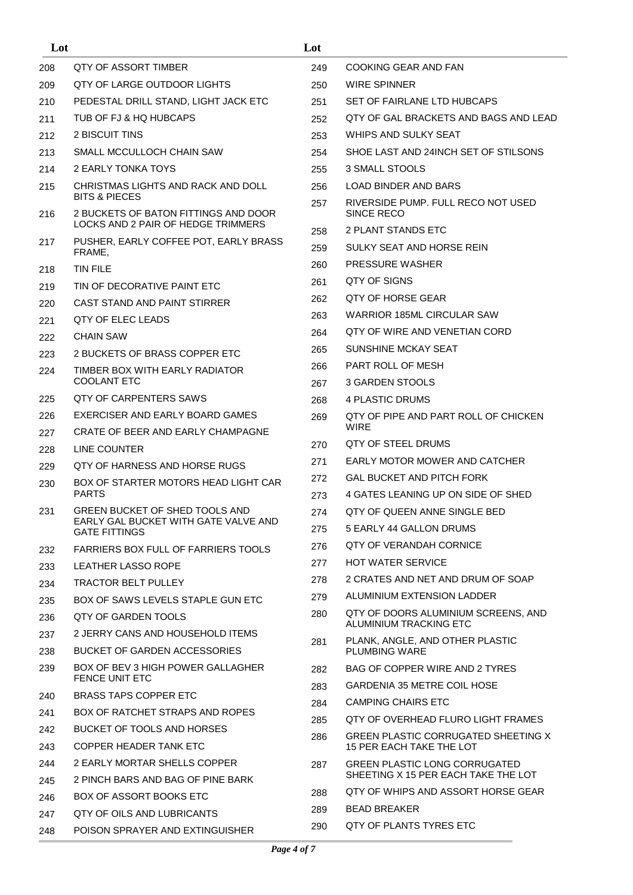| Lot |                                                                                                        | Lot        |                                                                   |
|-----|--------------------------------------------------------------------------------------------------------|------------|-------------------------------------------------------------------|
| 208 | QTY OF ASSORT TIMBER                                                                                   | 249        | COOKING GEAR AND FAN                                              |
| 209 | QTY OF LARGE OUTDOOR LIGHTS                                                                            | 250        | <b>WIRE SPINNER</b>                                               |
| 210 | PEDESTAL DRILL STAND, LIGHT JACK ETC                                                                   | 251        | SET OF FAIRLANE LTD HUBCAPS                                       |
| 211 | TUB OF FJ & HQ HUBCAPS                                                                                 | 252        | QTY OF GAL BRACKETS AND BAGS AND LEAD                             |
| 212 | 2 BISCUIT TINS                                                                                         | 253        | WHIPS AND SULKY SEAT                                              |
| 213 | SMALL MCCULLOCH CHAIN SAW                                                                              | 254        | SHOE LAST AND 24 NCH SET OF STILSONS                              |
| 214 | 2 EARLY TONKA TOYS                                                                                     | 255        | 3 SMALL STOOLS                                                    |
| 215 | CHRISTMAS LIGHTS AND RACK AND DOLL                                                                     | 256        | <b>LOAD BINDER AND BARS</b>                                       |
| 216 | <b>BITS &amp; PIECES</b><br>2 BUCKETS OF BATON FITTINGS AND DOOR<br>LOCKS AND 2 PAIR OF HEDGE TRIMMERS | 257        | RIVERSIDE PUMP. FULL RECO NOT USED<br>SINCE RECO                  |
| 217 | PUSHER, EARLY COFFEE POT, EARLY BRASS                                                                  | 258        | 2 PLANT STANDS ETC                                                |
|     | FRAME,                                                                                                 | 259        | SULKY SEAT AND HORSE REIN                                         |
| 218 | <b>TIN FILE</b>                                                                                        | 260        | <b>PRESSURE WASHER</b>                                            |
| 219 | TIN OF DECORATIVE PAINT ETC                                                                            | 261        | QTY OF SIGNS                                                      |
| 220 | CAST STAND AND PAINT STIRRER                                                                           | 262        | QTY OF HORSE GEAR                                                 |
| 221 | OTY OF ELEC LEADS                                                                                      | 263        | WARRIOR 185ML CIRCULAR SAW                                        |
| 222 | <b>CHAIN SAW</b>                                                                                       | 264        | OTY OF WIRE AND VENETIAN CORD                                     |
| 223 | 2 BUCKETS OF BRASS COPPER ETC                                                                          | 265        | SUNSHINE MCKAY SEAT                                               |
| 224 | TIMBER BOX WITH EARLY RADIATOR                                                                         | 266        | PART ROLL OF MESH                                                 |
|     | COOLANT ETC                                                                                            | 267        | 3 GARDEN STOOLS                                                   |
| 225 | QTY OF CARPENTERS SAWS                                                                                 | 268        | 4 PLASTIC DRUMS                                                   |
| 226 | EXERCISER AND EARLY BOARD GAMES                                                                        | 269        | QTY OF PIPE AND PART ROLL OF CHICKEN<br><b>WIRE</b>               |
| 227 | CRATE OF BEER AND EARLY CHAMPAGNE                                                                      |            | QTY OF STEEL DRUMS                                                |
| 228 | LINE COUNTER                                                                                           | 270        |                                                                   |
| 229 | OTY OF HARNESS AND HORSE RUGS                                                                          | 271        | EARLY MOTOR MOWER AND CATCHER<br><b>GAL BUCKET AND PITCH FORK</b> |
| 230 | BOX OF STARTER MOTORS HEAD LIGHT CAR<br><b>PARTS</b>                                                   | 272<br>273 | 4 GATES LEANING UP ON SIDE OF SHED                                |
| 231 | GREEN BUCKET OF SHED TOOLS AND                                                                         | 274        | QTY OF QUEEN ANNE SINGLE BED                                      |
|     | EARLY GAL BUCKET WITH GATE VALVE AND<br><b>GATE FITTINGS</b>                                           | 275        | 5 EARLY 44 GALLON DRUMS                                           |
| 232 | <b>FARRIERS BOX FULL OF FARRIERS TOOLS</b>                                                             | 276        | QTY OF VERANDAH CORNICE                                           |
| 233 | <b>LEATHER LASSO ROPE</b>                                                                              | 277        | <b>HOT WATER SERVICE</b>                                          |
| 234 | <b>TRACTOR BELT PULLEY</b>                                                                             | 278        | 2 CRATES AND NET AND DRUM OF SOAP                                 |
| 235 | BOX OF SAWS LEVELS STAPLE GUN ETC                                                                      | 279        | ALUMINIUM EXTENSION LADDER                                        |
| 236 | OTY OF GARDEN TOOLS                                                                                    | 280        | QTY OF DOORS ALUMINIUM SCREENS, AND<br>ALUMINIUM TRACKING ETC     |
| 237 | 2 JERRY CANS AND HOUSEHOLD ITEMS                                                                       |            | PLANK, ANGLE, AND OTHER PLASTIC                                   |
| 238 | <b>BUCKET OF GARDEN ACCESSORIES</b>                                                                    | 281        | <b>PLUMBING WARE</b>                                              |
| 239 | BOX OF BEV 3 HIGH POWER GALLAGHER<br><b>FENCE UNIT ETC</b>                                             | 282        | BAG OF COPPER WIRE AND 2 TYRES                                    |
| 240 | BRASS TAPS COPPER ETC                                                                                  | 283        | GARDENIA 35 METRE COIL HOSE                                       |
| 241 | BOX OF RATCHET STRAPS AND ROPES                                                                        | 284        | <b>CAMPING CHAIRS ETC</b>                                         |
| 242 | BUCKET OF TOOLS AND HORSES                                                                             | 285        | QTY OF OVERHEAD FLURO LIGHT FRAMES                                |
| 243 | COPPER HEADER TANK ETC                                                                                 | 286        | GREEN PLASTIC CORRUGATED SHEETING X<br>15 PER EACH TAKE THE LOT   |
| 244 | 2 EARLY MORTAR SHELLS COPPER                                                                           | 287        | <b>GREEN PLASTIC LONG CORRUGATED</b>                              |
| 245 | 2 PINCH BARS AND BAG OF PINE BARK                                                                      |            | SHEETING X 15 PER EACH TAKE THE LOT                               |
| 246 | BOX OF ASSORT BOOKS ETC                                                                                | 288        | QTY OF WHIPS AND ASSORT HORSE GEAR                                |
| 247 | QTY OF OILS AND LUBRICANTS                                                                             | 289        | <b>BEAD BREAKER</b>                                               |
| 248 | POISON SPRAYER AND EXTINGUISHER                                                                        | 290        | QTY OF PLANTS TYRES ETC                                           |
|     |                                                                                                        |            |                                                                   |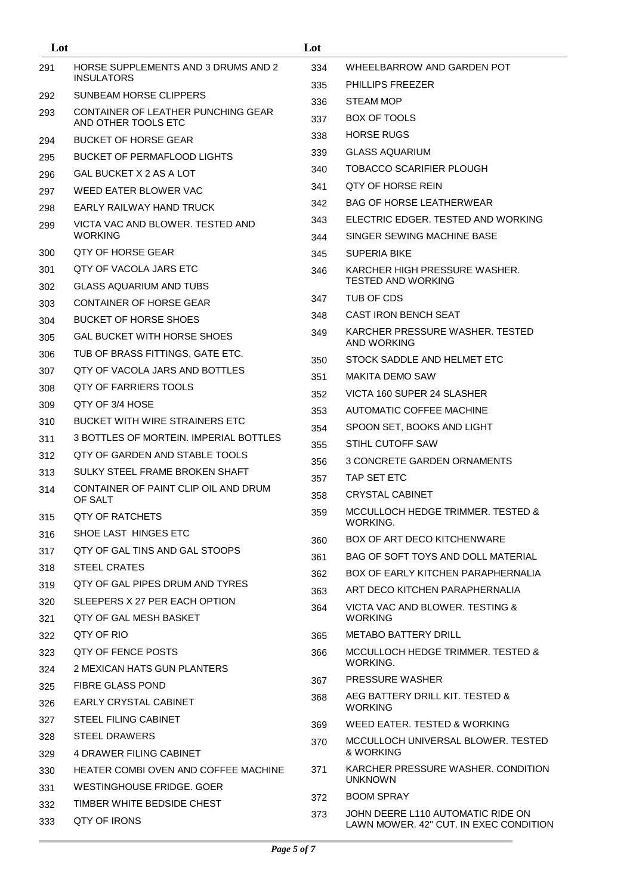| Lot        |                                                           | Lot |                                                            |
|------------|-----------------------------------------------------------|-----|------------------------------------------------------------|
| 291        | HORSE SUPPLEMENTS AND 3 DRUMS AND 2                       | 334 | WHEELBARROW AND GARDEN POT                                 |
|            | <b>INSULATORS</b>                                         | 335 | <b>PHILLIPS FREEZER</b>                                    |
| 292        | SUNBEAM HORSE CLIPPERS                                    | 336 | STEAM MOP                                                  |
| 293        | CONTAINER OF LEATHER PUNCHING GEAR<br>AND OTHER TOOLS ETC | 337 | <b>BOX OF TOOLS</b>                                        |
| 294        | <b>BUCKET OF HORSE GEAR</b>                               | 338 | <b>HORSE RUGS</b>                                          |
| 295        | <b>BUCKET OF PERMAFLOOD LIGHTS</b>                        | 339 | <b>GLASS AQUARIUM</b>                                      |
| 296        | GAL BUCKET X 2 AS A LOT                                   | 340 | <b>TOBACCO SCARIFIER PLOUGH</b>                            |
| 297        | WEED EATER BLOWER VAC                                     | 341 | QTY OF HORSE REIN                                          |
| 298        | EARLY RAILWAY HAND TRUCK                                  | 342 | BAG OF HORSE LEATHERWEAR                                   |
| 299        | VICTA VAC AND BLOWER. TESTED AND                          | 343 | ELECTRIC EDGER. TESTED AND WORKING                         |
|            | <b>WORKING</b>                                            | 344 | SINGER SEWING MACHINE BASE                                 |
| 300        | QTY OF HORSE GEAR                                         | 345 | SUPERIA BIKE                                               |
| 301        | QTY OF VACOLA JARS ETC                                    | 346 | KARCHER HIGH PRESSURE WASHER.<br><b>TESTED AND WORKING</b> |
| 302        | <b>GLASS AQUARIUM AND TUBS</b>                            | 347 | TUB OF CDS                                                 |
| 303        | <b>CONTAINER OF HORSE GEAR</b>                            | 348 | CAST IRON BENCH SEAT                                       |
| 304        | <b>BUCKET OF HORSE SHOES</b>                              | 349 | KARCHER PRESSURE WASHER. TESTED                            |
| 305        | <b>GAL BUCKET WITH HORSE SHOES</b>                        |     | AND WORKING                                                |
| 306        | TUB OF BRASS FITTINGS, GATE ETC.                          | 350 | STOCK SADDLE AND HELMET ETC                                |
| 307        | QTY OF VACOLA JARS AND BOTTLES                            | 351 | <b>MAKITA DEMO SAW</b>                                     |
| 308        | QTY OF FARRIERS TOOLS<br>QTY OF 3/4 HOSE                  | 352 | VICTA 160 SUPER 24 SLASHER                                 |
| 309        | <b>BUCKET WITH WIRE STRAINERS ETC</b>                     | 353 | AUTOMATIC COFFEE MACHINE                                   |
| 310        | 3 BOTTLES OF MORTEIN. IMPERIAL BOTTLES                    | 354 | SPOON SET, BOOKS AND LIGHT                                 |
| 311<br>312 | QTY OF GARDEN AND STABLE TOOLS                            | 355 | STIHL CUTOFF SAW                                           |
|            | SULKY STEEL FRAME BROKEN SHAFT                            | 356 | 3 CONCRETE GARDEN ORNAMENTS                                |
| 313<br>314 | CONTAINER OF PAINT CLIP OIL AND DRUM                      | 357 | TAP SET ETC                                                |
|            | OF SALT                                                   | 358 | CRYSTAL CABINET                                            |
| 315        | QTY OF RATCHETS                                           | 359 | MCCULLOCH HEDGE TRIMMER. TESTED &<br>WORKING.              |
| 316        | SHOE LAST HINGES ETC                                      | 360 | BOX OF ART DECO KITCHENWARE                                |
| 317        | OTY OF GAL TINS AND GAL STOOPS                            | 361 | BAG OF SOFT TOYS AND DOLL MATERIAL                         |
| 318        | STEEL CRATES                                              | 362 | BOX OF EARLY KITCHEN PARAPHERNALIA                         |
| 319        | QTY OF GAL PIPES DRUM AND TYRES                           | 363 | ART DECO KITCHEN PARAPHERNALIA                             |
| 320        | SLEEPERS X 27 PER EACH OPTION                             | 364 | VICTA VAC AND BLOWER. TESTING &                            |
| 321        | QTY OF GAL MESH BASKET                                    |     | <b>WORKING</b>                                             |
| 322        | OTY OF RIO                                                | 365 | <b>METABO BATTERY DRILL</b>                                |
| 323        | OTY OF FENCE POSTS                                        | 366 | MCCULLOCH HEDGE TRIMMER. TESTED &<br><b>WORKING.</b>       |
| 324        | 2 MEXICAN HATS GUN PLANTERS                               |     | <b>PRESSURE WASHER</b>                                     |
| 325        | <b>FIBRE GLASS POND</b>                                   | 367 | AEG BATTERY DRILL KIT. TESTED &                            |
| 326        | EARLY CRYSTAL CABINET                                     | 368 | <b>WORKING</b>                                             |
| 327        | STEEL FILING CABINET                                      | 369 | WEED EATER. TESTED & WORKING                               |
| 328        | <b>STEEL DRAWERS</b>                                      | 370 | MCCULLOCH UNIVERSAL BLOWER. TESTED                         |
| 329        | 4 DRAWER FILING CABINET                                   |     | & WORKING                                                  |
| 330        | HEATER COMBI OVEN AND COFFEE MACHINE                      | 371 | KARCHER PRESSURE WASHER, CONDITION<br><b>UNKNOWN</b>       |
| 331        | WESTINGHOUSE FRIDGE, GOER                                 | 372 | <b>BOOM SPRAY</b>                                          |
| 332        | TIMBER WHITE BEDSIDE CHEST                                | 373 | JOHN DEERE L110 AUTOMATIC RIDE ON                          |
| 333        | QTY OF IRONS                                              |     | LAWN MOWER. 42" CUT. IN EXEC CONDITION                     |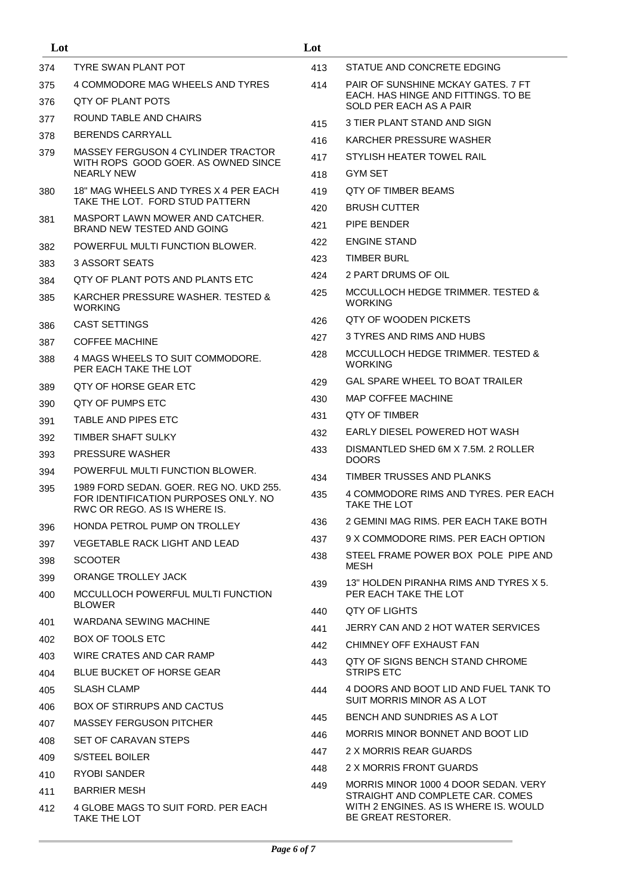| Lot |                                                                                                                 | Lot |                                                                                                 |
|-----|-----------------------------------------------------------------------------------------------------------------|-----|-------------------------------------------------------------------------------------------------|
| 374 | TYRE SWAN PLANT POT                                                                                             | 413 | STATUE AND CONCRETE EDGING                                                                      |
| 375 | 4 COMMODORE MAG WHEELS AND TYRES                                                                                | 414 | PAIR OF SUNSHINE MCKAY GATES, 7 FT                                                              |
| 376 | QTY OF PLANT POTS                                                                                               |     | EACH. HAS HINGE AND FITTINGS. TO BE<br>SOLD PER EACH AS A PAIR                                  |
| 377 | ROUND TABLE AND CHAIRS                                                                                          | 415 | 3 TIER PLANT STAND AND SIGN                                                                     |
| 378 | <b>BERENDS CARRYALL</b>                                                                                         | 416 | KARCHER PRESSURE WASHER                                                                         |
| 379 | MASSEY FERGUSON 4 CYLINDER TRACTOR                                                                              | 417 | STYLISH HEATER TOWEL RAIL                                                                       |
|     | WITH ROPS GOOD GOER. AS OWNED SINCE<br><b>NEARLY NEW</b>                                                        | 418 | GYM SET                                                                                         |
| 380 | 18" MAG WHEELS AND TYRES X 4 PER EACH                                                                           | 419 | QTY OF TIMBER BEAMS                                                                             |
|     | TAKE THE LOT. FORD STUD PATTERN                                                                                 | 420 | <b>BRUSH CUTTER</b>                                                                             |
| 381 | MASPORT LAWN MOWER AND CATCHER.<br>BRAND NEW TESTED AND GOING                                                   | 421 | PIPE BENDER                                                                                     |
| 382 | POWERFUL MULTI FUNCTION BLOWER.                                                                                 | 422 | <b>ENGINE STAND</b>                                                                             |
| 383 | 3 ASSORT SEATS                                                                                                  | 423 | <b>TIMBER BURL</b>                                                                              |
| 384 | QTY OF PLANT POTS AND PLANTS ETC                                                                                | 424 | 2 PART DRUMS OF OIL                                                                             |
| 385 | KARCHER PRESSURE WASHER, TESTED &<br><b>WORKING</b>                                                             | 425 | MCCULLOCH HEDGE TRIMMER. TESTED &<br><b>WORKING</b>                                             |
| 386 | CAST SETTINGS                                                                                                   | 426 | OTY OF WOODEN PICKETS                                                                           |
| 387 | <b>COFFEE MACHINE</b>                                                                                           | 427 | 3 TYRES AND RIMS AND HUBS                                                                       |
| 388 | 4 MAGS WHEELS TO SUIT COMMODORE.<br>PER EACH TAKE THE LOT                                                       | 428 | MCCULLOCH HEDGE TRIMMER. TESTED &<br><b>WORKING</b>                                             |
| 389 | QTY OF HORSE GEAR ETC                                                                                           | 429 | GAL SPARE WHEEL TO BOAT TRAILER                                                                 |
| 390 | QTY OF PUMPS ETC                                                                                                | 430 | <b>MAP COFFEE MACHINE</b>                                                                       |
| 391 | TABLE AND PIPES ETC                                                                                             | 431 | QTY OF TIMBER                                                                                   |
| 392 | TIMBER SHAFT SULKY                                                                                              | 432 | EARLY DIESEL POWERED HOT WASH                                                                   |
| 393 | <b>PRESSURE WASHER</b>                                                                                          | 433 | DISMANTLED SHED 6M X 7.5M, 2 ROLLER<br><b>DOORS</b>                                             |
| 394 | POWERFUL MULTI FUNCTION BLOWER.                                                                                 | 434 | TIMBER TRUSSES AND PLANKS                                                                       |
| 395 | 1989 FORD SEDAN, GOER, REG NO, UKD 255.<br>FOR IDENTIFICATION PURPOSES ONLY, NO<br>RWC OR REGO. AS IS WHERE IS. | 435 | 4 COMMODORE RIMS AND TYRES. PER EACH<br>TAKE THE LOT                                            |
| 396 | HONDA PETROL PUMP ON TROLLEY                                                                                    | 436 | 2 GEMINI MAG RIMS. PER EACH TAKE BOTH                                                           |
| 397 | VEGETABLE RACK LIGHT AND LEAD                                                                                   | 437 | 9 X COMMODORE RIMS. PER EACH OPTION                                                             |
| 398 | <b>SCOOTER</b>                                                                                                  | 438 | STEEL FRAME POWER BOX POLE PIPE AND                                                             |
| 399 | <b>ORANGE TROLLEY JACK</b>                                                                                      |     | MESH                                                                                            |
| 400 | MCCULLOCH POWERFUL MULTI FUNCTION<br><b>BLOWER</b>                                                              | 439 | 13" HOLDEN PIRANHA RIMS AND TYRES X 5.<br>PER EACH TAKE THE LOT                                 |
| 401 | WARDANA SEWING MACHINE                                                                                          | 440 | QTY OF LIGHTS                                                                                   |
| 402 | <b>BOX OF TOOLS ETC</b>                                                                                         | 441 | JERRY CAN AND 2 HOT WATER SERVICES                                                              |
| 403 | WIRE CRATES AND CAR RAMP                                                                                        | 442 | CHIMNEY OFF EXHAUST FAN                                                                         |
| 404 | <b>BLUE BUCKET OF HORSE GEAR</b>                                                                                | 443 | QTY OF SIGNS BENCH STAND CHROME<br><b>STRIPS ETC</b>                                            |
| 405 | SLASH CLAMP                                                                                                     | 444 | 4 DOORS AND BOOT LID AND FUEL TANK TO                                                           |
| 406 | BOX OF STIRRUPS AND CACTUS                                                                                      |     | SUIT MORRIS MINOR AS A LOT                                                                      |
| 407 | <b>MASSEY FERGUSON PITCHER</b>                                                                                  | 445 | BENCH AND SUNDRIES AS A LOT                                                                     |
| 408 | SET OF CARAVAN STEPS                                                                                            | 446 | MORRIS MINOR BONNET AND BOOT LID                                                                |
| 409 | S/STEEL BOILER                                                                                                  | 447 | 2 X MORRIS REAR GUARDS                                                                          |
| 410 | RYOBI SANDER                                                                                                    | 448 | 2 X MORRIS FRONT GUARDS                                                                         |
| 411 | <b>BARRIER MESH</b>                                                                                             | 449 | MORRIS MINOR 1000 4 DOOR SEDAN. VERY                                                            |
| 412 | 4 GLOBE MAGS TO SUIT FORD. PER EACH<br>TAKE THE LOT                                                             |     | STRAIGHT AND COMPLETE CAR. COMES<br>WITH 2 ENGINES. AS IS WHERE IS. WOULD<br>BE GREAT RESTORER. |